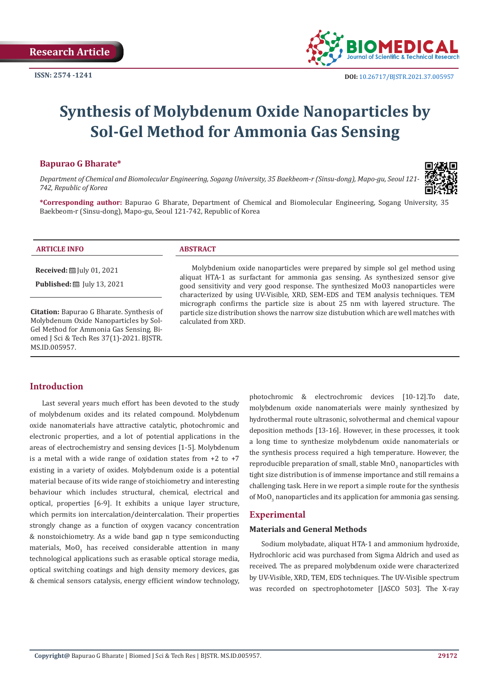

# **Synthesis of Molybdenum Oxide Nanoparticles by Sol-Gel Method for Ammonia Gas Sensing**

#### **Bapurao G Bharate\***

*Department of Chemical and Biomolecular Engineering, Sogang University, 35 Baekbeom-r (Sinsu-dong), Mapo-gu, Seoul 121- 742, Republic of Korea*



**\*Corresponding author:** Bapurao G Bharate, Department of Chemical and Biomolecular Engineering, Sogang University, 35 Baekbeom-r (Sinsu-dong), Mapo-gu, Seoul 121-742, Republic of Korea

#### **ARTICLE INFO ABSTRACT**

**Received:** [Uly 01, 2021]

**Published:** [Uly 13, 2021]

**Citation:** Bapurao G Bharate. Synthesis of Molybdenum Oxide Nanoparticles by Sol-Gel Method for Ammonia Gas Sensing. Biomed J Sci & Tech Res 37(1)-2021. BJSTR. MS.ID.005957.

Molybdenium oxide nanoparticles were prepared by simple sol gel method using aliquat HTA-1 as surfactant for ammonia gas sensing. As synthesized sensor give good sensitivity and very good response. The synthesized MoO3 nanoparticles were characterized by using UV-Visible, XRD, SEM-EDS and TEM analysis techniques. TEM micrograph confirms the particle size is about 25 nm with layered structure. The particle size distribution shows the narrow size distubution which are well matches with calculated from XRD.

# **Introduction**

Last several years much effort has been devoted to the study of molybdenum oxides and its related compound. Molybdenum oxide nanomaterials have attractive catalytic, photochromic and electronic properties, and a lot of potential applications in the areas of electrochemistry and sensing devices [1-5]. Molybdenum is a metal with a wide range of oxidation states from  $+2$  to  $+7$ existing in a variety of oxides. Molybdenum oxide is a potential material because of its wide range of stoichiometry and interesting behaviour which includes structural, chemical, electrical and optical, properties [6-9]. It exhibits a unique layer structure, which permits ion intercalation/deintercalation. Their properties strongly change as a function of oxygen vacancy concentration & nonstoichiometry. As a wide band gap n type semiconducting materials, Mo $\sigma_{3}$  has received considerable attention in many technological applications such as erasable optical storage media, optical switching coatings and high density memory devices, gas & chemical sensors catalysis, energy efficient window technology, photochromic & electrochromic devices [10-12].To date, molybdenum oxide nanomaterials were mainly synthesized by hydrothermal route ultrasonic, solvothermal and chemical vapour deposition methods [13-16]. However, in these processes, it took a long time to synthesize molybdenum oxide nanomaterials or the synthesis process required a high temperature. However, the reproducible preparation of small, stable  $\texttt{MnO}_3$  nanoparticles with tight size distribution is of immense importance and still remains a challenging task. Here in we report a simple route for the synthesis of Mo $\mathrm{O}_3$  nanoparticles and its application for ammonia gas sensing.

# **Experimental**

#### **Materials and General Methods**

Sodium molybadate, aliquat HTA-1 and ammonium hydroxide, Hydrochloric acid was purchased from Sigma Aldrich and used as received. The as prepared molybdenum oxide were characterized by UV-Visible, XRD, TEM, EDS techniques. The UV-Visible spectrum was recorded on spectrophotometer [JASCO 503]. The X-ray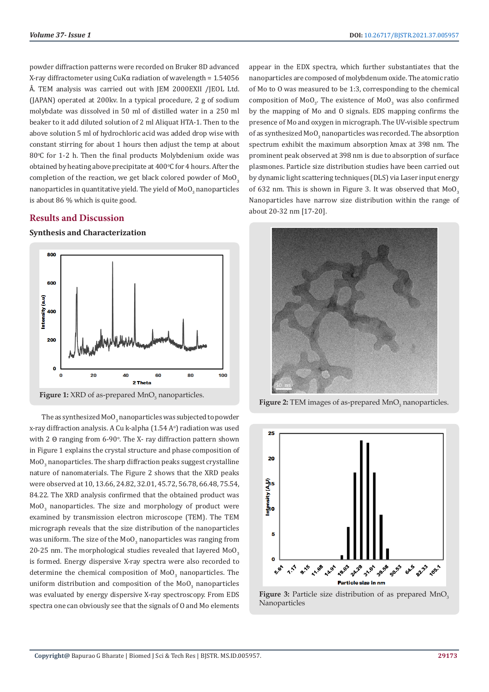powder diffraction patterns were recorded on Bruker 8D advanced X-ray diffractometer using CuKα radiation of wavelength = 1.54056 Å. TEM analysis was carried out with JEM 2000EXII /JEOL Ltd. (JAPAN) operated at 200kv. In a typical procedure, 2 g of sodium molybdate was dissolved in 50 ml of distilled water in a 250 ml beaker to it add diluted solution of 2 ml Aliquat HTA-1. Then to the above solution 5 ml of hydrochloric acid was added drop wise with constant stirring for about 1 hours then adjust the temp at about 80°C for 1-2 h. Then the final products Molybdenium oxide was obtained by heating above precipitate at 400°C for 4 hours. After the completion of the reaction, we get black colored powder of  $MoO<sub>3</sub>$ nanoparticles in quantitative yield. The yield of  $\texttt{MOO}_3$  nanoparticles is about 86 % which is quite good.

# **Results and Discussion**

**Synthesis and Characterization**



**Figure 1:** XRD of as-prepared MnO<sub>3</sub> nanoparticles.

The as synthesized MoO $_3$  nanoparticles was subjected to powder x-ray diffraction analysis. A Cu k-alpha (1.54 A°) radiation was used with 2  $\Theta$  ranging from 6-90°. The X- ray diffraction pattern shown in Figure 1 explains the crystal structure and phase composition of  $\mathsf{MoO}_3$  nanoparticles. The sharp diffraction peaks suggest crystalline nature of nanomaterials. The Figure 2 shows that the XRD peaks were observed at 10, 13.66, 24.82, 32.01, 45.72, 56.78, 66.48, 75.54, 84.22. The XRD analysis confirmed that the obtained product was  $\texttt{MoO}_{\texttt{3}}$  nanoparticles. The size and morphology of product were examined by transmission electron microscope (TEM). The TEM micrograph reveals that the size distribution of the nanoparticles was uniform. The size of the MoO $_3$  nanoparticles was ranging from 20-25 nm. The morphological studies revealed that layered  $MoO<sub>3</sub>$ is formed. Energy dispersive X-ray spectra were also recorded to determine the chemical composition of  $\text{MoO}_3$  nanoparticles. The uniform distribution and composition of the MoO<sub>3</sub> nanoparticles was evaluated by energy dispersive X-ray spectroscopy. From EDS spectra one can obviously see that the signals of O and Mo elements

appear in the EDX spectra, which further substantiates that the nanoparticles are composed of molybdenum oxide. The atomic ratio of Mo to O was measured to be 1:3, corresponding to the chemical composition of MoO<sub>3</sub>. The existence of MoO<sub>3</sub> was also confirmed by the mapping of Mo and O signals. EDS mapping confirms the presence of Mo and oxygen in micrograph. The UV-visible spectrum of as synthesized MoO $_3$  nanoparticles was recorded. The absorption spectrum exhibit the maximum absorption λmax at 398 nm. The prominent peak observed at 398 nm is due to absorption of surface plasmones. Particle size distribution studies have been carried out by dynamic light scattering techniques (DLS) via Laser input energy of 632 nm. This is shown in Figure 3. It was observed that  $MoO<sub>3</sub>$ Nanoparticles have narrow size distribution within the range of about 20-32 nm [17-20].



**Figure 2:** TEM images of as-prepared MnO<sub>3</sub> nanoparticles.



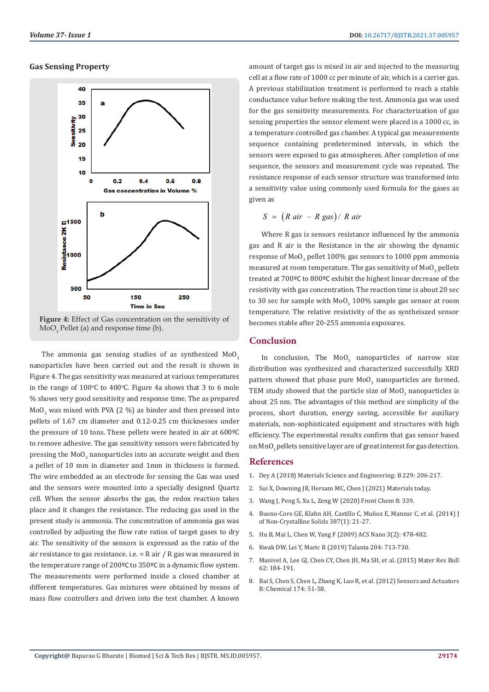#### **Gas Sensing Property**



**Figure 4:** Effect of Gas concentration on the sensitivity of  $MoO<sub>3</sub>$  Pellet (a) and response time (b).

The ammonia gas sensing studies of as synthesized  $MoO<sub>3</sub>$ nanoparticles have been carried out and the result is shown in Figure 4. The gas sensitivity was measured at various temperatures in the range of  $100^{\circ}$ C to  $400^{\circ}$ C. Figure 4a shows that 3 to 6 mole % shows very good sensitivity and response time. The as prepared MoO<sub>3</sub> was mixed with PVA (2 %) as binder and then pressed into pellets of 1.67 cm diameter and 0.12-0.25 cm thicknesses under the pressure of 10 tons. These pellets were heated in air at 600ºC to remove adhesive. The gas sensitivity sensors were fabricated by pressing the MoO<sub>3</sub> nanoparticles into an accurate weight and then a pellet of 10 mm in diameter and 1mm in thickness is formed. The wire embedded as an electrode for sensing the Gas was used and the sensors were mounted into a specially designed Quartz cell. When the sensor absorbs the gas, the redox reaction takes place and it changes the resistance. The reducing gas used in the present study is ammonia. The concentration of ammonia gas was controlled by adjusting the flow rate ratios of target gases to dry air. The sensitivity of the sensors is expressed as the ratio of the air resistance to gas resistance, i.e.  $=$  R air  $/$  R gas was measured in the temperature range of 200ºC to 350ºC in a dynamic flow system. The measurements were performed inside a closed chamber at different temperatures. Gas mixtures were obtained by means of mass flow controllers and driven into the test chamber. A known

amount of target gas is mixed in air and injected to the measuring cell at a flow rate of 1000 cc per minute of air, which is a carrier gas. A previous stabilization treatment is performed to reach a stable conductance value before making the test. Ammonia gas was used for the gas sensitivity measurements. For characterization of gas sensing properties the sensor element were placed in a 1000 cc, in a temperature controlled gas chamber. A typical gas measurements sequence containing predetermined intervals, in which the sensors were exposed to gas atmospheres. After completion of one sequence, the sensors and measurement cycle was repeated. The resistance response of each sensor structure was transformed into a sensitivity value using commonly used formula for the gases as given as

$$
S = (R \, air - R \, gas) / R \, air
$$

Where R gas is sensors resistance influenced by the ammonia gas and R air is the Resistance in the air showing the dynamic response of MoO $_3$  pellet 100% gas sensors to 1000 ppm ammonia measured at room temperature. The gas sensitivity of MoO $_3$  pellets treated at 700ºC to 800ºC exhibit the highest linear decrease of the resistivity with gas concentration. The reaction time is about 20 sec to 30 sec for sample with MoO $_3$  100% sample gas sensor at room temperature. The relative resistivity of the as syntheiszed sensor becomes stable after 20-255 ammonia exposures.

# **Conclusion**

In conclusion, The  $M_3$  nanoparticles of narrow size distribution was synthesized and characterized successfully. XRD pattern showed that phase pure  $\text{MoO}_3$  nanoparticles are formed. TEM study showed that the particle size of MoO<sub>3</sub> nanoparticles is about 25 nm. The advantages of this method are simplicity of the process, short duration, energy saving, accessible for auxiliary materials, non-sophisticated equipment and structures with high efficiency. The experimental results confirm that gas sensor based on MnO<sub>2</sub> pellets sensitive layer are of great interest for gas detection.

# **References**

- 1. Dey A (2018) Materials Science and Engineering: B 229: 206-217.
- 2. Sui X, Downing JR, Hersam MC, Chen J (2021) Materials today.
- 3. Wang J, Peng S, Xu L, Zeng W (2020) Front Chem 8: 339.
- 4. Buono-Core GE, Klahn AH, Castillo C, Muñoz E, Manzur C, et al. (2014) J of Non-Crystalline Solids 387(1): 21-27.
- 5. Hu B, Mai L, Chen W, Yang F (2009) ACS Nano 3(2): 478-482.
- 6. Kwak DW, Lei Y, Maric R (2019) Talanta 204: 713-730.
- 7. Manivel A, Lee GJ, Chen CY, Chen JH, Ma SH, et al. (2015) Mater Res Bull 62: 184-191.
- 8. Bai S, Chen S, Chen L, Zhang K, Luo R, et al. (2012) Sensors and Actuators B: Chemical 174: 51-58.